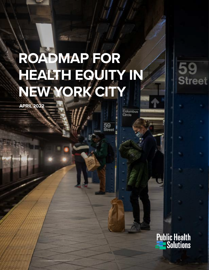# **ROADMAP FOR HEALTH EQUITY IN NEW YORK CITY**

Columbus Circle

59<br>Street

35

**APRIL 2022**



**Street**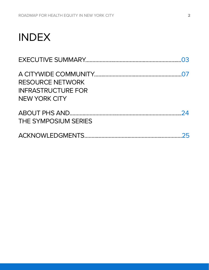# INDEX

| <b>RESOURCE NETWORK</b><br><b>INFRASTRUCTURE FOR</b><br><b>NEW YORK CITY</b> |  |
|------------------------------------------------------------------------------|--|
| THE SYMPOSIUM SERIES                                                         |  |
|                                                                              |  |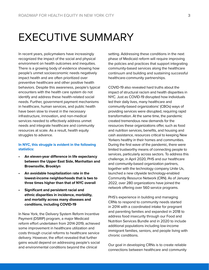# EXECUTIVE SUMMARY

In recent years, policymakers have increasingly recognized the impact of the social and physical environment on health outcomes and inequities. There is a growing body of evidence showing how people's unmet socioeconomic needs negatively impact health and are often prioritized over preventive healthcare and other positive health behaviors. Despite this awareness, people's typical encounters with the health care system do not identify and address these health-related social needs. Further, government payment mechanisms in healthcare, human services, and public health have been slow to invest in the necessary infrastructure, innovation, and non-medical services needed to effectively address unmet needs and integrate healthcare and community resources at scale. As a result, health equity struggles to advance.

#### **In NYC, this struggle is evident in the following statistics:**

- **• An eleven-year difference in life expectancy between the Upper East Side, Manhattan and Brownsville, Brooklyn**
- **• An avoidable hospitalization rate in the lowest-income neighborhoods that is two to three times higher than that of NYC overall**
- **• Significant and persistent racial and ethnic disparities in incidence, morbidity, and mortality across many diseases and conditions, including COVID-19**

In New York, the Delivery System Reform Incentive Payment (DSRIP) program, a major Medicaid reform effort undertaken from 2014-2019, achieved some improvement in healthcare utilization and costs through crucial reforms to healthcare service delivery. However, the effort revealed that further gains would depend on addressing people's social and environmental conditions beyond the clinical

setting. Addressing these conditions in the next phase of Medicaid reform will require improving the policies and practices that support integrating community-based services along the healthcare continuum and building and sustaining successful healthcare-community partnerships.

COVID-19 also revealed hard truths about the impact of structural racism and health disparities in NYC. Just as COVID-19 disrupted how individuals led their daily lives, many healthcare and community-based organizations' (CBOs) ways of providing services were disrupted, requiring rapid transformation. At the same time, the pandemic created tremendous new demands for the resources these organizations offer, such as food and nutrition services, benefits, and housing and cash assistance, resources critical to keeping New Yorkers healthy in their homes and communities. During the first wave of the pandemic, there were limited trustworthy means of connecting people to services, particularly across sectors. To address this challenge, in April 2020, PHS and our healthcare and community-based organization partners, together with the technology company Unite Us, launched a new citywide technology-enabled Community Resource Network (CRN). As of January 2022, over 280 organizations have joined the network offering over 560 service programs.

PHS's experience in building and managing CRNs to respond to community needs started in 2014 with a coordinated intake for pregnant and parenting families and expanded in 2018 to address food insecurity through our Food and Nutrition Services Bundle and in 2020 to include additional populations including low-income immigrant families, seniors, and people living with chronic conditions.

Our goal in developing CRNs is to create reliable connections between healthcare and community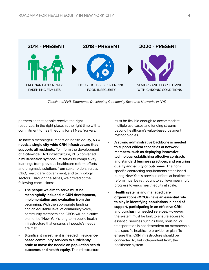

*Timeline of PHS Experience Developing Community Resource Networks in NYC*

partners so that people receive the right resources, in the right place, at the right time with a commitment to health equity for all New Yorkers.

To have a meaningful impact on health equity, **NYC needs a single city-wide CRN infrastructure that supports all residents.** To inform the development of a city-wide CRN infrastructure, PHS convened a multi-session symposium series to compile key learnings from previous healthcare reform efforts and pragmatic solutions from stakeholders across CBO, healthcare, government, and technology sectors. Through the series, we arrived at the following conclusions:

- **• The people we aim to serve must be meaningfully included in CRN development, implementation and evaluation from the beginning.** With the appropriate funding and an equitable level of community voice, community members and CBOs will be a critical element of New York's long term public health infrastructure that ensures all people's needs are met.
- **• Significant investment is needed in evidencebased community services to sufficiently scale to move the needle on population health outcomes and health equity.** The infrastructure

must be flexible enough to accommodate multiple use cases and funding streams beyond healthcare's value-based payment methodologies.

- **• A strong administrative backbone is needed to support critical capacities of network members, such as deploying innovative technology, establishing effective contracts and standard business practices, and ensuring quality and equity of outcomes.** The nonspecific contracting requirements established during New York's previous efforts at healthcare reform must be rethought to achieve meaningful progress towards health equity at scale.
- **• Health systems and managed care organizations (MCOs) have an essential role to play in identifying populations in need of support, participating in an effective CRN, and purchasing needed services**. However, the system must be built to ensure access to essential services such as food, housing, or transportation is not dependent on membership to a specific healthcare provider or plan. To ensure this, CRN infrastructure should be connected to, but independent from, the healthcare system.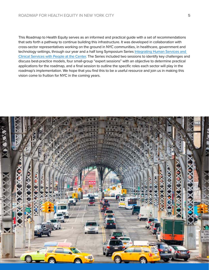This Roadmap to Health Equity serves as an informed and practical guide with a set of recommendations that sets forth a pathway to continue building this infrastructure. It was developed in collaboration with cross-sector representatives working on the ground in NYC communities, in healthcare, government and technology settings, through our year and a half long Symposium Series Integrating Human Services and [Clinical Services with People at the Center.](https://www.healthsolutions.org/partnerships/phs-symposium-series/) The Series included two sessions to identify key challenges and discuss best-practice models, four small-group "expert sessions" with an objective to determine practical applications for the roadmap, and a final session to outline the specific roles each sector will play in the roadmap's implementation. We hope that you find this to be a useful resource and join us in making this vision come to fruition for NYC in the coming years.

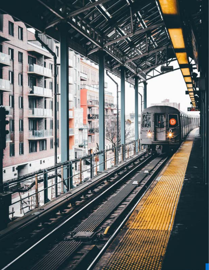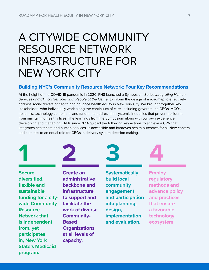# A CITYWIDE COMMUNITY RESOURCE NETWORK INFRASTRUCTURE FOR NEW YORK CITY

### **Building NYC's Community Resource Network: Four Key Recommendations**

At the height of the COVID-19 pandemic in 2020, PHS launched a Symposium Series *Integrating Human Services and Clinical Services with People at the Center* to inform the design of a roadmap to effectively address social drivers of health and advance health equity in New York City. We brought together key stakeholders who individually work along the continuum of care, including government, CBOs, MCOs, hospitals, technology companies and funders to address the systemic inequities that prevent residents from maintaining healthy lives. The learnings from the Symposium along with our own experience developing and managing CRNs since 2014 guided the following key actions to achieve a CRN that integrates healthcare and human services, is accessible and improves health outcomes for all New Yorkers and commits to an equal role for CBOs in delivery system decision-making.





**Create an** 

**Secure diversified, flexible and sustainable funding for a city-to support and wide Community Resource Network that is independent from, yet participates in, New York State's Medicaid program.**

**administrative backbone and infrastructure facilitate the work of diverse Community-Based Organizations at all levels of capacity.**



**Systematically build local community engagement and participation into planning, design, implementation, and evaluation.**

**Employ regulatory methods and advance policy and practices that ensure a favorable technology ecosystem.**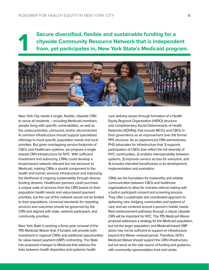**Secure diversified, flexible and sustainable funding for a citywide Community Resource Network that is independent 1 from, yet participates in, New York State's Medicaid program.**



New York City needs a single, flexible, citywide CRN to serve all residents – including Medicaid members, people living with specific vulnerabilities, as well as the undocumented, uninsured, and/or disconnected. A common infrastructure should support specialized offerings to meet specific population needs and local priorities. But given overlapping service footprints of CBOs and healthcare systems, we propose a single shared CRN infrastructure for NYC. With sufficient investment and autonomy, CRNs could develop a broad-based network relevant but not exclusive to Medicaid, making CRNs a pivotal component to the health and human services infrastructure and improving the likelihood of ongoing sustainability through diverse funding streams. Healthcare partners could purchase a unique suite of services from the CRN based on their population health needs and value-based payment priorities, but the use of the network would not be limited to their populations. Universal standards for reporting services and outcomes should be governed by the CRN and aligned with state, network participant, and community priorities.

New York State is seeking a three-year renewal of the 1115 Medicaid Waiver that, if funded, will provide both investment in regional CRNs and additional opportunities for value-based payment (VBP) contracting. The State has proposed changes to Medicaid that address the links between health disparities and systemic health

care delivery issues through formation of a Health Equity Regional Organization (HERO) structure and complimentary Social Determinants of Health Networks (SDHNs), that include MCOs and CBOs in their governance as an improvement over the former PPS structure. As an experienced CRN administrator, PHS advocates for infrastructure that: 1) supports participation of CBOs that reflect the full diversity of NYC communities, 2) enables interoperability between systems, 3) improves service access for everyone, and 4) includes intended beneficiaries in its development, implementation and evaluation.

CRNs are the foundation for trustworthy and reliable communication between CBOs and healthcare organizations to allow for real-time referral making with a built-in participant consent and screening process. They offer a sustainable and coordinated approach to delivering care, bridging communities and systems of care, and are centered around a person's holistic needs. Real reimbursement pathways through a robust, citywide CRN will be important for NYC. The 1115 Medicaid Waiver proposal addresses a strategy for the Medicaid population, but not the larger population, and Medicaid-based VBP alone may not be sufficient to support an infrastructure beyond the Waiver renewal period. Therefore, NYS's Medicaid Waiver should support the CRN infrastructure, but not serve as the sole source of funding and guidance, with community representation front and center.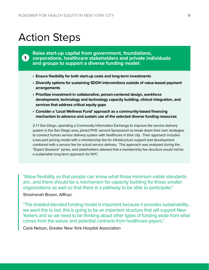## Action Steps

**Raise start-up capital from government, foundations, corporations, healthcare stakeholders and private individuals and groups to support a diverse funding model: 1**

- **• Ensure flexibility for both start-up costs and long-term investments**
- **• Diversify options for sustaining SDOH interventions outside of value-based payment arrangements**
- **• Prioritize investment in collaborative, person-centered design, workforce development, technology and technology capacity building, clinical integration, and services that address critical equity gaps**
- **• Consider a 'Local Wellness Fund' approach as a community-based financing mechanism to advance and sustain use of the selected diverse funding resources**

2-1-1 San Diego, operating a Community Information Exchange to improve the service delivery system in the San Diego area, joined PHS' second Symposium to break down their own strategies to connect human service delivery system with healthcare in their city. Their approach includes a two-part pricing model with a membership fee for infrastructure support and development combined with a service fee for actual service delivery. This approach was analyzed during the "Expert Sessions" series, and stakeholders advised that a membership fee structure would not be a sustainable long-term approach for NYC.

"Allow flexibility so that people can know what those minimum viable standards are...and there should be a mechanism for capacity building for those smaller organizations as well so that there is a pathway to be able to participate."

#### Shoshanah Brown, AIRnyc

"The braided-blended funding model is important because it provides sustainability... we want this to last, this is going to be an important structure that will support New Yorkers and so we need to be thinking about other types of funding aside from what comes from the waiver and potential contracts from healthcare payers."

Carla Nelson, Greater New York Hospital Association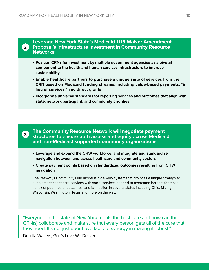### **Leverage New York State's Medicaid 1115 Waiver Amendment Proposal's infrastructure investment in Community Resource 2 Networks:**

- **• Position CRNs for investment by multiple government agencies as a pivotal component to the health and human services infrastructure to improve sustainability**
- **• Enable healthcare partners to purchase a unique suite of services from the CRN based on Medicaid funding streams, including value-based payments, "in lieu of services," and direct grants**
- **• Incorporate universal standards for reporting services and outcomes that align with state, network participant, and community priorities**

**The Community Resource Network will negotiate payment structures to ensure both access and equity across Medicaid and non-Medicaid supported community organizations. 3**

- **• Leverage and expand the CHW workforce, and integrate and standardize navigation between and across healthcare and community sectors**
- **• Create payment points based on standardized outcomes resulting from CHW navigation**

The Pathways Community Hub model is a delivery system that provides a unique strategy to supplement healthcare services with social services needed to overcome barriers for those at risk of poor health outcomes, and is in action in several states including Ohio, Michigan, Wisconsin, Washington, Texas and more on the way.

"Everyone in the state of New York merits the best care and how can the CRN(s) collaborate and make sure that every person gets all of the care that they need. It's not just about overlap, but synergy in making it robust."

Dorella Walters, God's Love We Deliver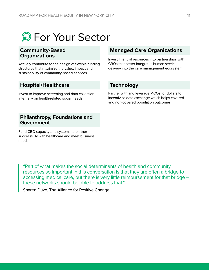

### **Community-Based Organizations**

Actively contribute to the design of flexible funding structures that maximize the value, impact and sustainability of community-based services

### **Hospital/Healthcare**

Invest to improve screening and data collection internally on health-related social needs

### **Philanthropy, Foundations and Government**

Fund CBO capacity and systems to partner successfully with healthcare and meet business needs

### **Managed Care Organizations**

Invest financial resources into partnerships with CBOs that better integrates human services delivery into the care management ecosystem

### **Technology**

Partner with and leverage MCOs for dollars to incentivize data exchange which helps covered and non-covered population outcomes

"Part of what makes the social determinants of health and community resources so important in this conversation is that they are often a bridge to accessing medical care, but there is very little reimbursement for that bridge – these networks should be able to address that."

Sharen Duke, The Alliance for Positive Change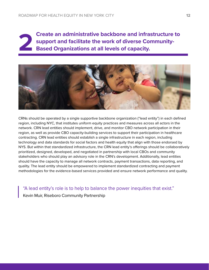**Create an administrative backbone and infrastructure to support and facilitate the work of diverse Community- 2 Based Organizations at all levels of capacity.**



CRNs should be operated by a single supportive backbone organization ("lead entity") in each defined region, including NYC, that institutes uniform equity practices and measures across all actors in the network. CRN lead entities should implement, drive, and monitor CBO network participation in their region, as well as provide CBO capacity-building services to support their participation in healthcare contracting. CRN lead entities should establish a single infrastructure in each region, including technology and data standards for social factors and health equity that align with those endorsed by NYS. But within that standardized infrastructure, the CRN lead entity's offerings should be collaboratively prioritized, designed, developed, and negotiated in partnership with local CBOs and community stakeholders who should play an advisory role in the CRN's development. Additionally, lead entities should have the capacity to manage all network contracts, payment transactions, data reporting, and quality. The lead entity should be empowered to implement standardized contracting and payment methodologies for the evidence-based services provided and ensure network performance and quality.

"A lead entity's role is to help to balance the power inequities that exist." Kevin Muir, Riseboro Community Partnership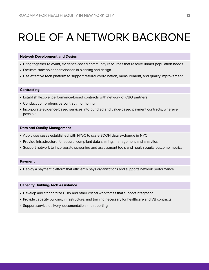# ROLE OF A NETWORK BACKBONE

#### **Network Development and Design**

- Bring together relevant, evidence-based community resources that resolve unmet population needs
- Facilitate stakeholder participation in planning and design
- Use effective tech platform to support referral coordination, measurement, and quality improvement

#### **Contracting**

- Establish flexible, performance-based contracts with network of CBO partners
- Conduct comprehensive contract monitoring
- Incorporate evidence-based services into bundled and value-based payment contracts, wherever possible

#### **Data and Quality Management**

- Apply use cases established with NYeC to scale SDOH data exchange in NYC
- Provide infrastructure for secure, compliant data sharing, management and analytics
- Support network to incorporate screening and assessment tools and health equity outcome metrics

#### **Payment**

• Deploy a payment platform that efficiently pays organizations and supports network performance

#### **Capacity Building/Tech Assistance**

- Develop and standardize CHW and other critical workforces that support integration
- Provide capacity building, infrastructure, and training necessary for healthcare and VB contracts
- Support service delivery, documentation and reporting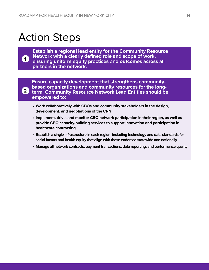# Action Steps

**1**

**Establish a regional lead entity for the Community Resource Network with a clearly defined role and scope of work, ensuring uniform equity practices and outcomes across all partners in the network.**

**Ensure capacity development that strengthens communitybased organizations and community resources for the longterm. Community Resource Network Lead Entities should be 2 empowered to:** 

- **• Work collaboratively with CBOs and community stakeholders in the design, development, and negotiations of the CRN**
- **• Implement, drive, and monitor CBO network participation in their region, as well as provide CBO capacity-building services to support innovation and participation in healthcare contracting**
- **• Establish a single infrastructure in each region, including technology and data standards for social factors and health equity that align with those endorsed statewide and nationally**
- **• Manage all network contracts, payment transactions, data reporting, and performance quality**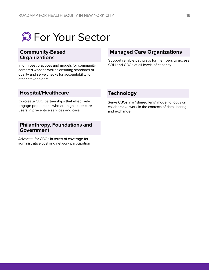

### **Community-Based Organizations**

Inform best practices and models for community centered work as well as ensuring standards of quality and serve checks for accountability for other stakeholders

### **Managed Care Organizations**

Support reliable pathways for members to access CRN and CBOs at all levels of capacity

### **Hospital/Healthcare**

Co-create CBO partnerships that effectively engage populations who are high acute care users in preventive services and care

### **Philanthropy, Foundations and Government**

Advocate for CBOs in terms of coverage for administrative cost and network participation

### **Technology**

Serve CBOs in a "shared lens" model to focus on collaborative work in the contexts of data sharing and exchange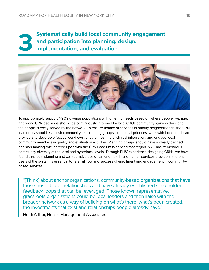**Systematically build local community engagement and participation into planning, design, 3implementation, and evaluation**



To appropriately support NYC's diverse populations with differing needs based on where people live, age, and work, CRN decisions should be continuously informed by local CBOs community stakeholders, and the people directly served by the network. To ensure uptake of services in priority neighborhoods, the CRN lead entity should establish community-led planning groups to set local priorities, work with local healthcare providers to develop effective workflows, ensure meaningful clinical integration, and engage local community members in quality and evaluation activities. Planning groups should have a clearly defined decision-making role, agreed upon with the CRN Lead Entity serving that region. NYC has tremendous community diversity at the local and hyperlocal levels. Through PHS' experience designing CRNs, we have found that local planning and collaborative design among health and human services providers and endusers of the system is essential to referral flow and successful enrollment and engagement in communitybased services.

"[Think] about anchor organizations, community-based organizations that have those trusted local relationships and have already established stakeholder feedback loops that can be leveraged. Those known representative, grassroots organizations could be local leaders and then liaise with the broader network as a way of building on what's there, what's been created, the investments that exist and relationships people already have."

Heidi Arthur, Health Management Associates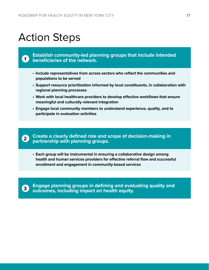# Action Steps

#### **Establish community-led planning groups that include intended beneficiaries of the network. 1**

- **• Include representatives from across sectors who reflect the communities and populations to be served**
- **• Support resource prioritization informed by local constituents, in collaboration with regional planning processes**
- **• Work with local healthcare providers to develop effective workflows that ensure meaningful and culturally relevant integration**
- **• Engage local community members to understand experience, quality, and to participate in evaluation activities**

#### **Create a clearly defined role and scope of decision-making in partnership with planning groups. 2**

**• Each group will be instrumental in ensuring a collaborative design among health and human services providers for effective referral flow and successful enrollment and engagement in community-based services** 

**Engage planning groups in defining and evaluating quality and outcomes, including impact on health equity. 3**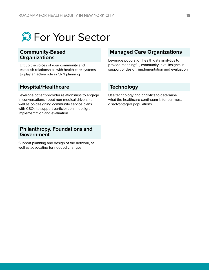# **D** For Your Sector

### **Community-Based Organizations**

Lift up the voices of your community and establish relationships with health care systems to play an active role in CRN planning

### **Hospital/Healthcare**

Leverage patient-provider relationships to engage in conversations about non-medical drivers as well as co-designing community service plans with CBOs to support participation in design, implementation and evaluation

### **Philanthropy, Foundations and Government**

Support planning and design of the network, as well as advocating for needed changes

### **Managed Care Organizations**

Leverage population health data analytics to provide meaningful, community-level insights in support of design, implementation and evaluation

### **Technology**

Use technology and analytics to determine what the healthcare continuum is for our most disadvantaged populations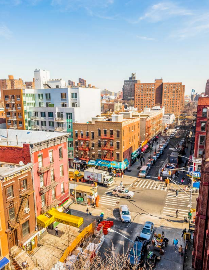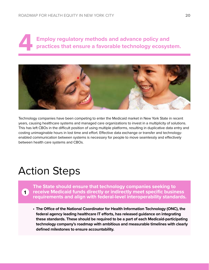**Employ regulatory methods and advance policy and practices that ensure a favorable technology ecosystem.** 



Technology companies have been competing to enter the Medicaid market in New York State in recent years, causing healthcare systems and managed care organizations to invest in a multiplicity of solutions. This has left CBOs in the difficult position of using multiple platforms, resulting in duplicative data entry and costing unimaginable hours in lost time and effort. Effective data exchange or transfer and technologyenabled communication between systems is necessary for people to move seamlessly and effectively between health care systems and CBOs.

## Action Steps

**1**

**The State should ensure that technology companies seeking to receive Medicaid funds directly or indirectly meet specific business requirements and align with federal-level interoperability standards.** 

**• The Office of the National Coordinator for Health Information Technology (ONC), the federal agency leading healthcare IT efforts, has released guidance on integrating these standards. These should be required to be a part of each Medicaid-participating technology company's roadmap with ambitious and measurable timelines with clearly defined milestones to ensure accountability.**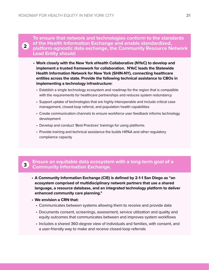**2**

**To ensure that network and technologies conform to the standards of the Health Information Exchange and enable standardized, platform-agnostic data exchange, the Community Resource Network Lead Entity should:**

- **• Work closely with the New York eHealth Collaborative (NYeC) to develop and implement a trusted framework for collaboration. NYeC leads the Statewide Health Information Network for New York (SHIN-NY), connecting healthcare entities across the state. Provide the following technical assistance to CBOs in implementing a technology infrastructure:** 
	- Establish a single technology ecosystem and roadmap for the region that is compatible with the requirements for healthcare partnerships and reduces system redundancy
	- Support uptake of technologies that are highly interoperable and include critical case management, closed-loop referral, and population health capabilities
	- Create communication channels to ensure workforce user feedback informs technology development
	- Develop and conduct 'Best Practices' trainings for using platforms
	- Provide training and technical assistance the builds HIPAA and other regulatory compliance capacity

#### **Ensure an equitable data ecosystem with a long-term goal of a Community Information Exchange. 3**

- **• A Community Information Exchange (CIE) is defined by 2-1-1 San Diego as "an ecosystem comprised of multidisciplinary network partners that use a shared language, a resource database, and an integrated technology platform to deliver enhanced community care planning."**
- **• We envision a CRN that:**
	- Communicates between systems allowing them to receive and provide data
	- Documents consent, screenings, assessment, service utilization and quality and equity outcomes that communicates between and improves system workflows
	- Includes a shared 360-degree view of individuals and families, with consent, and a user-friendly way to make and receive closed-loop referrals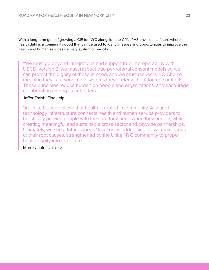With a long-term goal of growing a CIE for NYC alongside the CRN, PHS envisions a future where health data is a community good that can be used to identify issues and opportunities to improve the health and human services delivery system of our city.

"We must go beyond integrations and support true interoperability with USCDI version 2, we must respect true per-referral consent models so we can protect the dignity of those in need, and we must respect CBO Choice, meaning they can work in the systems they prefer without forced contracts. These principles reduce burden on people and organizations, and encourage collaboration among stakeholders."

#### Jaffer Traish, FindHelp

"At Unite Us, we believe that health is rooted in community. A shared technology infrastructure connects health and human service providers to holistically provide people with the care they need when they need it, while creating meaningful and sustainable cross-sector and citywide partnerships. Ultimately, we see a future where New York is addressing all systemic issues at their root causes, strengthened by the Unite NYC community to propel health equity into the future."

Marc Natale, Unite Us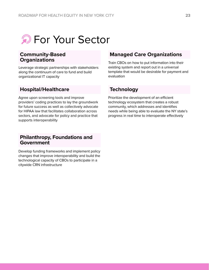# **D** For Your Sector

### **Community-Based Organizations**

Leverage strategic partnerships with stakeholders along the continuum of care to fund and build organizational IT capacity

### **Hospital/Healthcare**

Agree upon screening tools and improve providers' coding practices to lay the groundwork for future success as well as collectively advocate for HIPAA law that facilitates collaboration across sectors, and advocate for policy and practice that supports interoperability

### **Philanthropy, Foundations and Government**

Develop funding frameworks and implement policy changes that improve interoperability and build the technological capacity of CBOs to participate in a citywide CRN infrastructure

### **Managed Care Organizations**

Train CBOs on how to put information into their existing system and report out in a universal template that would be desirable for payment and evaluation

### **Technology**

Prioritize the development of an efficient technology ecosystem that creates a robust community, which addresses and identifies needs while being able to evaluate the NY state's progress in real time to interoperate effectively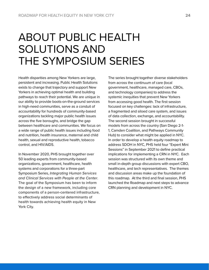# ABOUT PUBLIC HEALTH SOLUTIONS AND THE SYMPOSIUM SERIES

Health disparities among New Yorkers are large, persistent and increasing. Public Health Solutions exists to change that trajectory and support New Yorkers in achieving optimal health and building pathways to reach their potential. We are unique in our ability to provide boots-on-the-ground services in high-need communities, serve as a conduit of accountability for hundreds of community-based organizations tackling major public health issues across the five boroughs, and bridge the gap between healthcare and communities. We focus on a wide range of public health issues including food and nutrition, health insurance, maternal and child health, sexual and reproductive health, tobacco control, and HIV/AIDS.

In November 2020, PHS brought together over 50 leading experts from community-based organizations, government, healthcare, health systems and corporations for a three-part Symposium Series, *Integrating Human Services and Clinical Services with People at the Center*. The goal of the Symposium has been to inform the design of a new framework, including core components of a person-centered infrastructure, to effectively address social determinants of health towards achieving health equity in New York City.

The series brought together diverse stakeholders from across the continuum of care (local government, healthcare, managed care, CBOs, and technology companies) to address the systemic inequities that prevent New Yorkers from accessing good health. The first session focused on key challenges: lack of infrastructure, a fragmented and siloed care system, and issues of data collection, exchange, and accountability. The second session brought in successful models from across the country (San Diego 2-1- 1, Camden Coalition, and Pathways Community Hub) to consider what might be applied in NYC. In order to develop a health equity roadmap to address SDOH in NYC, PHS held four "Expert Mini Sessions" in September 2021 to define practical implications for implementing a CRN in NYC. Each session was structured with its own theme and small in-depth group discussions with expert CBO, healthcare, and tech representatives. The themes and discussion areas make up the foundation of this roadmap. At the third and final session, PHS launched the Roadmap and next steps to advance CRN planning and development in NYC.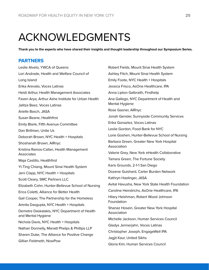# ACKNOWLEDGMENTS

**Thank you to the experts who have shared their insights and thought leadership throughout our Symposium Series.**

#### **PARTNERS**

Leslie Alvelo, YWCA of Queens Lori Andrade, Health and Welfare Council of Long Island Erika Arevalo, Voces Latinas Heidi Arthur, Health Management Associates Faven Arya, Arthur Ashe Institute for Urban Health Jalitza Baez, Voces Latinas Arielle Basch, JASA Susan Beane, Healthfirst Emily Blank, Fifth Avenue Committee Dan Brillman, Unite Us Deborah Brown, NYC Health + Hospitals Shoshanah Brown, AIRnyc Kristina Ramos-Callan, Health Management Associates Maja Castillo, Healthfirst Yi-Ting Chiang, Mount Sinai Health System Jeni Clapp, NYC Health + Hospitals Scott Cleary, SMC Partners LLC Elizabeth Cohn, Hunter-Bellevue School of Nursing Erica Coletti, Alliance for Better Health Gail Cooper, The Partnership for the Homeless Amrita Dasgupta, NYC Health + Hospitals Demetre Daskalakis, NYC Department of Health and Mental Hygiene Nichola Davis, NYC Health + Hospitals Nathan Donnelly, Manatt Phelps & Phillips LLP Sharen Duke, The Alliance for Positive Change Gillian Feldmeth, NowPow

Robert Fields, Mount Sinai Health System Ashley Fitch, Mount Sinai Health System Emily Foote, NYC Health + Hospitals Jessica Frisco, AsOne Healthcare, IPA Anna Lipton Galbraith, Findhelp Ana Gallego, NYC Department of Health and Mental Hygiene Rose Gasner, AIRnyc Jonah Gensler, Sunnyside Community Services Erika Gonazlez, Voces Latinas Leslie Gordon, Food Bank for NYC Lorie Goshen, Hunter-Bellevue School of Nursing Barbara Green, Greater New York Hospital Association Valerie Grey, New York eHealth Collaborative Tamara Green, The Fortune Society Karis Grounds, 2-1-1 San Diego Dozene Guishard, Carter Burden Network Kathryn Haslinger, JASA Avital Havusha, New York State Health Foundation Caroline Heindrichs, AsOne Healthcare, IPA Hilary Heishman, Robert Wood Johnson Foundation Shanaz Hosein, Greater New York Hospital Association Michelle Jackson, Human Services Council Gladys Jennerjahn, Voces Latinas Christopher Joseph, EngageWell IPA Jagjit Kaur, United Sikhs Gloria Kim, Human Services Council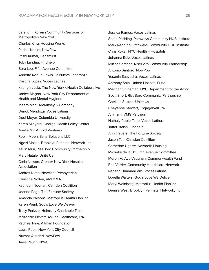Sara Kim, Korean Community Services of Metropolitan New York Charles King, Housing Works Rachel Kohler, NowPow Rashi Kumar, Healthfirst Toby Landau, Findhelp Bora Lee, Fifth Avenue Committee Annette Roque-Lewis, La Nueva Esperanza Cristina Lopez, Voces Latinas Kathryn Lucia, The New York eHealth Collaborative Janice Magno, New York City Department of Health and Mental Hygiene Meera Mani, McKinsey & Company Derick Mendoza, Voces Latinas Dodi Meyer, Columbia University Karen Minyard, George Health Policy Center Arielle Mir, Arnold Ventures Robin Moon, Sana Solutions LLC Ngozi Moses, Brooklyn Perinatal Network, Inc Kevin Muir, RiseBoro Community Partnership Marc Natale, Unite Us Carla Nelson, Greater New York Hospital Association Andres Nieto, NewYork-Presbyterian Christine Nollen, VMLY & R Kathleen Noonan, Camden Coalition Joanne Page, The Fortune Society Amanda Parsons, Metroplus Health Plan Inc Karen Pearl, God's Love We Deliver Tracy Perizzo, Helmsley Charitable Trust McKenzie Pickett, AsOne Healthcare, IPA Rachael Pine, Altman Foundation Laura Popa, New York City Council Nuzhat Quaderi, NowPow Tavia Rauch, NYeC

Jessica Ramos, Voces Latinas Sarah Redding, Pathways Community HUB Institute Mark Redding, Pathways Community HUB Institute Chris Roker, NYC Health + Hospitals Johanna Ruiz, Voces Latinas Mirtha Santana, RiseBoro Community Partnership Antonio Santoro, NowPow Yesenia Saavedra, Voces Latinas Anthony Shih, United Hospital Fund Meghan Shineman, NYC Department for the Aging Scott Short, RiseBoro Community Partnership Chelsea Sexton, Unite Us Cheyenne Stewart, EngageWell IPA Ally Tam, VMG Partners Nathaly Rubio-Torio, Voces Latinas Jaffer Traish, Findhelp Ann Travers, The Fortune Society Jason Turi, Camden Coalition Catherine Ugarte, Nazareth Housing Michelle de la Uz, Fifth Avenue Committee Morenike Ayo-Vaughan, Commonwealth Fund Erin Verrier, Community Healthcare Network Rebeca Huamani Vila, Voces Latinas Dorella Walters, God's Love We Deliver Meryl Weinberg, Metroplus Health Plan Inc Denise West, Brooklyn Perinatal Network, Inc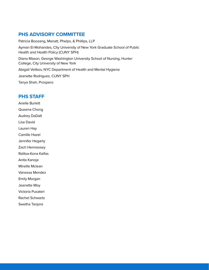### **PHS ADVISORY COMMITTEE**

Patricia Boozang, Manatt, Phelps, & Phillips, LLP Ayman El-Mohandes, City University of New York Graduate School of Public Health and Health Policy (CUNY SPH) Diana Mason, George Washington University School of Nursing, Hunter College, City University of New York Abigail Velikov, NYC Department of Health and Mental Hygiene Jeanette Rodriguez, CUNY SPH Tanya Shah, Prospero

### **PHS STAFF**

Arielle Burlett Queena Chong Audrey DaDalt Lisa David Lauren Hay Camille Hazel Jennifer Hegarty Zach Hennessey Ralitsa-Kona Kalfas Anita Kanoje Mireille Mclean Vanessa Mendez Emily Morgan Jeanette Moy Victoria Pusateri Rachel Schwartz Swetha Tanjore